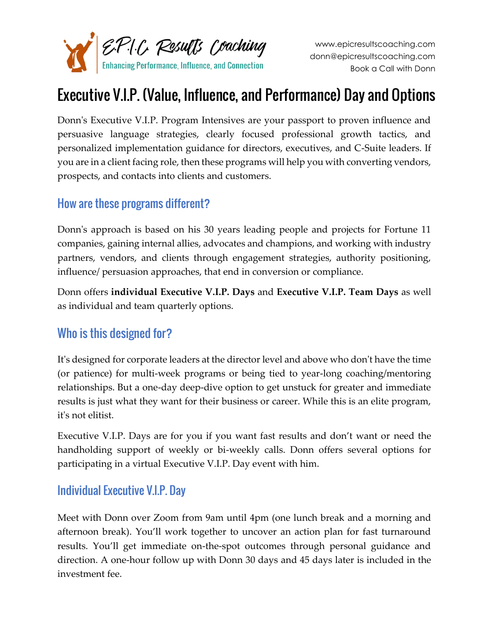

# Executive V.I.P. (Value, Influence, and Performance) Day and Options

Donn's Executive V.I.P. Program Intensives are your passport to proven influence and persuasive language strategies, clearly focused professional growth tactics, and personalized implementation guidance for directors, executives, and C-Suite leaders. If you are in a client facing role, then these programs will help you with converting vendors, prospects, and contacts into clients and customers.

#### How are these programs different?

Donn's approach is based on his 30 years leading people and projects for Fortune 11 companies, gaining internal allies, advocates and champions, and working with industry partners, vendors, and clients through engagement strategies, authority positioning, influence/ persuasion approaches, that end in conversion or compliance.

Donn offers **individual Executive V.I.P. Days** and **Executive V.I.P. Team Days** as well as individual and team quarterly options.

#### Who is this designed for?

It's designed for corporate leaders at the director level and above who don't have the time (or patience) for multi-week programs or being tied to year-long coaching/mentoring relationships. But a one-day deep-dive option to get unstuck for greater and immediate results is just what they want for their business or career. While this is an elite program, it's not elitist.

Executive V.I.P. Days are for you if you want fast results and don't want or need the handholding support of weekly or bi-weekly calls. Donn offers several options for participating in a virtual Executive V.I.P. Day event with him.

#### Individual Executive V.I.P. Day

Meet with Donn over Zoom from 9am until 4pm (one lunch break and a morning and afternoon break). You'll work together to uncover an action plan for fast turnaround results. You'll get immediate on-the-spot outcomes through personal guidance and direction. A one-hour follow up with Donn 30 days and 45 days later is included in the investment fee.